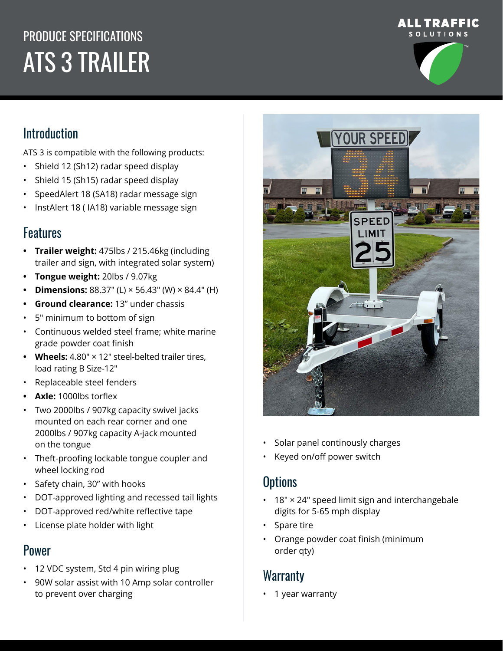# PRODUCE SPECIFICATIONS ATS 3 TRAILER





# Introduction

ATS 3 is compatible with the following products:

- Shield 12 (Sh12) radar speed display
- Shield 15 (Sh15) radar speed display
- SpeedAlert 18 (SA18) radar message sign
- InstAlert 18 ( IA18) variable message sign

# **Features**

- **• Trailer weight:** 475lbs / 215.46kg (including trailer and sign, with integrated solar system)
- **• Tongue weight:** 20lbs / 9.07kg
- **• Dimensions:** 88.37″ (L) × 56.43″ (W) × 84.4″ (H)
- **• Ground clearance:** 13" under chassis
- 5″ minimum to bottom of sign
- Continuous welded steel frame; white marine grade powder coat finish
- **• Wheels:** 4.80″ × 12″ steel-belted trailer tires, load rating B Size-12″
- Replaceable steel fenders
- **• Axle:** 1000lbs torflex
- Two 2000lbs / 907kg capacity swivel jacks mounted on each rear corner and one 2000lbs / 907kg capacity A-jack mounted on the tongue
- Theft-proofing lockable tongue coupler and wheel locking rod
- Safety chain, 30" with hooks
- DOT-approved lighting and recessed tail lights
- DOT-approved red/white reflective tape
- License plate holder with light

#### Power

- 12 VDC system, Std 4 pin wiring plug
- 90W solar assist with 10 Amp solar controller to prevent over charging



- Solar panel continously charges
- Keyed on/off power switch

# **Options**

- 18″ × 24″ speed limit sign and interchangebale digits for 5-65 mph display
- Spare tire
- Orange powder coat finish (minimum order qty)

### **Warranty**

• 1 year warranty